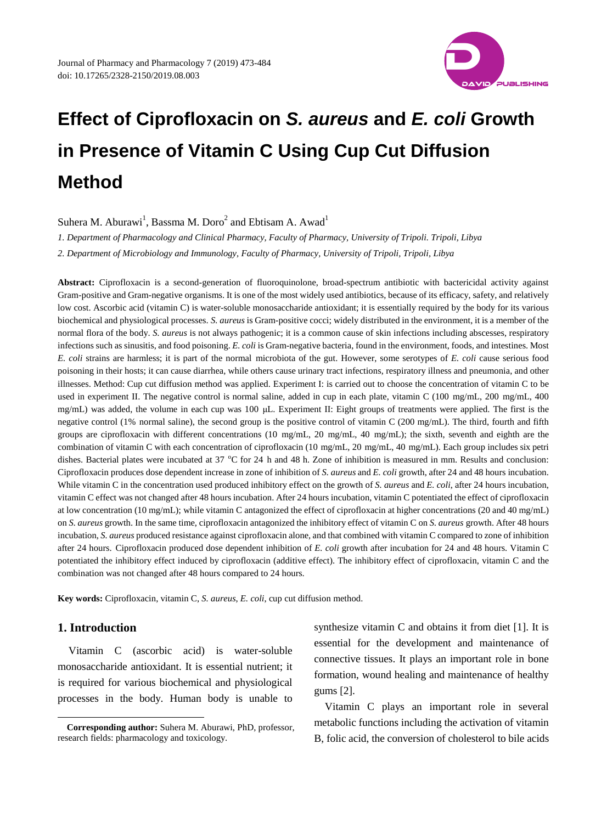

Suhera M. Aburawi<sup>1</sup>, Bassma M. Doro<sup>2</sup> and Ebtisam A. Awad<sup>1</sup>

*1. Department of Pharmacology and Clinical Pharmacy, Faculty of Pharmacy, University of Tripoli. Tripoli, Libya*

*2. Department of Microbiology and Immunology, Faculty of Pharmacy, University of Tripoli, Tripoli, Libya*

**Abstract:** Ciprofloxacin is a second-generation of fluoroquinolone, broad-spectrum antibiotic with bactericidal activity against Gram-positive and Gram-negative organisms. It is one of the most widely used antibiotics, because of its efficacy, safety, and relatively low cost. Ascorbic acid (vitamin C) is water-soluble monosaccharide antioxidant; it is essentially required by the body for its various biochemical and physiological processes. *S. aureus* is Gram-positive cocci; widely distributed in the environment, it is a member of the normal flora of the body. *S. aureus* is not always pathogenic; it is a common cause of skin infections including abscesses, respiratory infections such as sinusitis, and food poisoning. *E. coli* is Gram-negative bacteria, found in the environment, foods, and intestines. Most *E. coli* [strains](https://en.wikipedia.org/wiki/Strain_(biology)) are harmless; it is part of the [normal microbiota](https://en.wikipedia.org/wiki/Human_microbiota) of the [gut.](https://en.wikipedia.org/wiki/Gut_(zoology)) However, some [serotypes](https://en.wikipedia.org/wiki/Serotype) of *E. coli* cause serious [food](https://en.wikipedia.org/wiki/Foodborne_illness)  [poisoning](https://en.wikipedia.org/wiki/Foodborne_illness) in their hosts; it can cause diarrhea, while others cause urinary tract infections, respiratory illness and pneumonia, and other illnesses. Method: Cup cut diffusion method was applied. Experiment I: is carried out to choose the concentration of vitamin C to be used in experiment II. The negative control is normal saline, added in cup in each plate, vitamin C (100 mg/mL, 200 mg/mL, 400 mg/mL) was added, the volume in each cup was 100 μL. Experiment II: Eight groups of treatments were applied. The first is the negative control (1% normal saline), the second group is the positive control of vitamin C (200 mg/mL). The third, fourth and fifth groups are ciprofloxacin with different concentrations (10 mg/mL, 20 mg/mL, 40 mg/mL); the sixth, seventh and eighth are the combination of vitamin C with each concentration of ciprofloxacin (10 mg/mL, 20 mg/mL, 40 mg/mL). Each group includes six petri dishes. Bacterial plates were incubated at 37 °C for 24 h and 48 h. Zone of inhibition is measured in mm. Results and conclusion: Ciprofloxacin produces dose dependent increase in zone of inhibition of *S. aureus* and *E. coli* growth, after 24 and 48 hours incubation. While vitamin C in the concentration used produced inhibitory effect on the growth of *S. aureus* and *E. coli*, after 24 hours incubation, vitamin C effect was not changed after 48 hours incubation. After 24 hours incubation, vitamin C potentiated the effect of ciprofloxacin at low concentration (10 mg/mL); while vitamin C antagonized the effect of ciprofloxacin at higher concentrations (20 and 40 mg/mL) on *S. aureus* growth. In the same time, ciprofloxacin antagonized the inhibitory effect of vitamin C on *S. aureus* growth. After 48 hours incubation, *S. aureus* produced resistance against ciprofloxacin alone, and that combined with vitamin C compared to zone of inhibition after 24 hours. Ciprofloxacin produced dose dependent inhibition of *E. coli* growth after incubation for 24 and 48 hours. Vitamin C potentiated the inhibitory effect induced by ciprofloxacin (additive effect). The inhibitory effect of ciprofloxacin, vitamin C and the combination was not changed after 48 hours compared to 24 hours.

**Key words:** Ciprofloxacin, vitamin C, *S. aureus*, *E. coli*, cup cut diffusion method.

# **1. Introduction**

-

Vitamin C (ascorbic acid) is water-soluble monosaccharide antioxidant. It is essential nutrient; it is required for various biochemical and physiological processes in the body. Human body is unable to synthesize vitamin C and obtains it from diet [1]. It is essential for the development and maintenance of connective tissues. It plays an important role in bone formation, wound healing and maintenance of healthy gums [2].

Vitamin C plays an important role in several metabolic functions including the activation of vitamin B, folic acid, the conversion of cholesterol to bile acids

**Corresponding author:** Suhera M. Aburawi, PhD, professor, research fields: pharmacology and toxicology.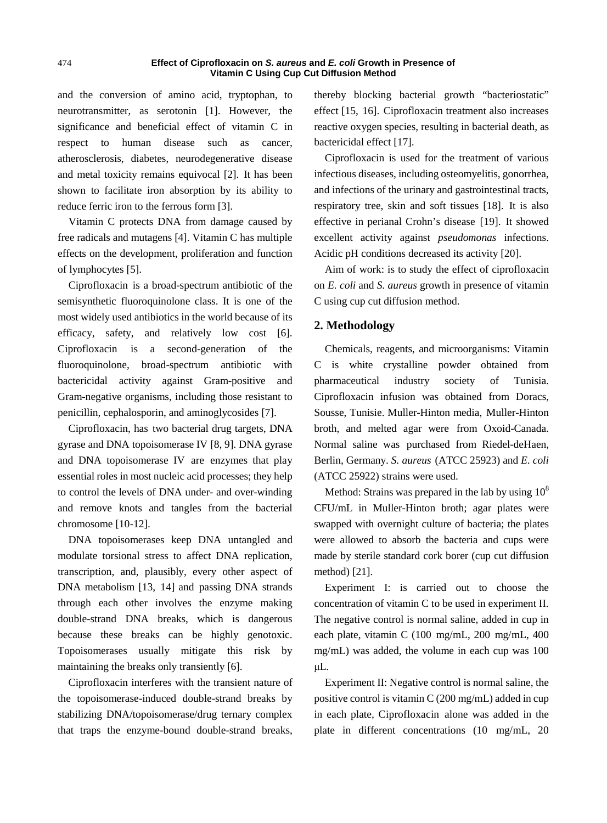and the conversion of amino acid, tryptophan, to neurotransmitter, as serotonin [1]. However, the significance and beneficial effect of vitamin C in respect to human disease such as cancer, atherosclerosis, diabetes, neurodegenerative disease and metal toxicity remains equivocal [2]. It has been shown to facilitate iron absorption by its ability to reduce ferric iron to the ferrous form [3].

Vitamin C protects DNA from damage caused by free radicals and mutagens [4]. Vitamin C has multiple effects on the development, proliferation and function of lymphocytes [5].

Ciprofloxacin is a broad-spectrum antibiotic of the semisynthetic fluoroquinolone class. It is one of the most widely used antibiotics in the world because of its efficacy, safety, and relatively low cost [6]. Ciprofloxacin is a second-generation of the fluoroquinolone, broad-spectrum antibiotic with bactericidal activity against Gram-positive and Gram-negative organisms, including those resistant to penicillin, cephalosporin, and aminoglycosides [7].

Ciprofloxacin, has two bacterial drug targets, DNA gyrase and DNA topoisomerase IV [8, 9]. DNA gyrase and DNA topoisomerase IV are enzymes that play essential roles in most nucleic acid processes; they help to control the levels of DNA under- and over-winding and remove knots and tangles from the bacterial chromosome [10-12].

DNA topoisomerases keep DNA untangled and modulate torsional stress to affect DNA replication, transcription, and, plausibly, every other aspect of DNA metabolism [13, 14] and passing DNA strands through each other involves the enzyme making double-strand DNA breaks, which is dangerous because these breaks can be highly genotoxic. Topoisomerases usually mitigate this risk by maintaining the breaks only transiently [6].

Ciprofloxacin interferes with the transient nature of the topoisomerase-induced double-strand breaks by stabilizing DNA/topoisomerase/drug ternary complex that traps the enzyme-bound double-strand breaks, thereby blocking bacterial growth "bacteriostatic" effect [15, 16]. Ciprofloxacin treatment also increases reactive oxygen species, resulting in bacterial death, as bactericidal effect [17].

Ciprofloxacin is used for the treatment of various infectious diseases, including osteomyelitis, gonorrhea, and infections of the urinary and gastrointestinal tracts, respiratory tree, skin and soft tissues [18]. It is also effective in perianal Crohn's disease [19]. It showed excellent activity against *pseudomonas* infections. Acidic pH conditions decreased its activity [20].

Aim of work: is to study the effect of ciprofloxacin on *E. coli* and *S. aureus* growth in presence of vitamin C using cup cut diffusion method.

## **2. Methodology**

Chemicals, reagents, and microorganisms: Vitamin C is white crystalline powder obtained from pharmaceutical industry society of Tunisia. Ciprofloxacin infusion was obtained from Doracs, Sousse, Tunisie. Muller-Hinton media, Muller-Hinton broth, and melted agar were from Oxoid-Canada. Normal saline was purchased from Riedel-deHaen, Berlin, Germany. *S. aureus* (ATCC 25923) and *E. coli*  (ATCC 25922) strains were used.

Method: Strains was prepared in the lab by using  $10^8$ CFU/mL in Muller-Hinton broth; agar plates were swapped with overnight culture of bacteria; the plates were allowed to absorb the bacteria and cups were made by sterile standard cork borer (cup cut diffusion method) [21].

Experiment I: is carried out to choose the concentration of vitamin C to be used in experiment II. The negative control is normal saline, added in cup in each plate, vitamin C (100 mg/mL, 200 mg/mL, 400 mg/mL) was added, the volume in each cup was 100 μL.

Experiment II: Negative control is normal saline, the positive control is vitamin C (200 mg/mL) added in cup in each plate, Ciprofloxacin alone was added in the plate in different concentrations (10 mg/mL, 20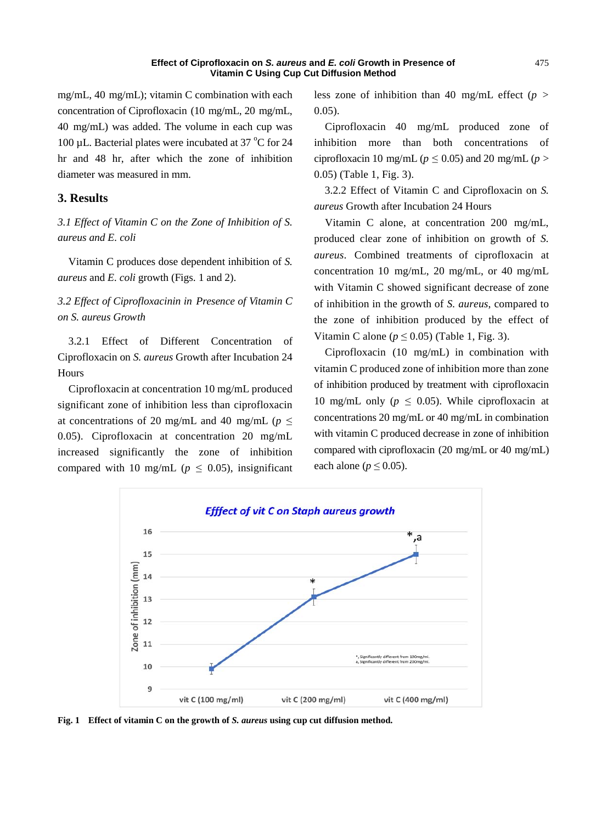mg/mL, 40 mg/mL); vitamin C combination with each concentration of Ciprofloxacin (10 mg/mL, 20 mg/mL, 40 mg/mL) was added. The volume in each cup was 100 µL. Bacterial plates were incubated at 37  $^{\circ}$ C for 24 hr and 48 hr, after which the zone of inhibition diameter was measured in mm.

## **3. Results**

*3.1 Effect of Vitamin C on the Zone of Inhibition of S. aureus and E. coli* 

Vitamin C produces dose dependent inhibition of *S. aureus* and *E. coli* growth (Figs. 1 and 2).

# *3.2 Effect of Ciprofloxacinin in Presence of Vitamin C on S. aureus Growth*

3.2.1 Effect of Different Concentration of Ciprofloxacin on *S. aureus* Growth after Incubation 24 Hours

Ciprofloxacin at concentration 10 mg/mL produced significant zone of inhibition less than ciprofloxacin at concentrations of 20 mg/mL and 40 mg/mL ( $p \leq$ 0.05). Ciprofloxacin at concentration 20 mg/mL increased significantly the zone of inhibition compared with 10 mg/mL ( $p \leq 0.05$ ), insignificant less zone of inhibition than 40 mg/mL effect  $(p >$ 0.05).

Ciprofloxacin 40 mg/mL produced zone of inhibition more than both concentrations of ciprofloxacin 10 mg/mL ( $p \le 0.05$ ) and 20 mg/mL ( $p >$ 0.05) (Table 1, Fig. 3).

3.2.2 Effect of Vitamin C and Ciprofloxacin on *S. aureus* Growth after Incubation 24 Hours

Vitamin C alone, at concentration 200 mg/mL, produced clear zone of inhibition on growth of *S. aureus*. Combined treatments of ciprofloxacin at concentration 10 mg/mL, 20 mg/mL, or 40 mg/mL with Vitamin C showed significant decrease of zone of inhibition in the growth of *S. aureus*, compared to the zone of inhibition produced by the effect of Vitamin C alone ( $p \le 0.05$ ) (Table 1, Fig. 3).

Ciprofloxacin (10 mg/mL) in combination with vitamin C produced zone of inhibition more than zone of inhibition produced by treatment with ciprofloxacin 10 mg/mL only ( $p \leq 0.05$ ). While ciprofloxacin at concentrations 20 mg/mL or 40 mg/mL in combination with vitamin C produced decrease in zone of inhibition compared with ciprofloxacin (20 mg/mL or 40 mg/mL) each alone ( $p \le 0.05$ ).



**Fig. 1 Effect of vitamin C on the growth of** *S. aureus* **using cup cut diffusion method.**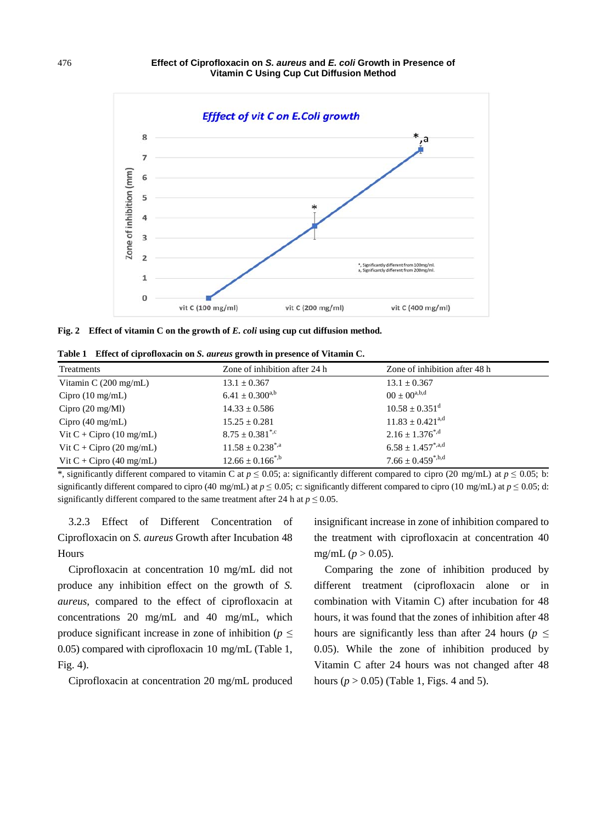

**Fig. 2 Effect of vitamin C on the growth of** *E. coli* **using cup cut diffusion method.** 

**Table 1 Effect of ciprofloxacin on** *S. aureus* **growth in presence of Vitamin C.**

| Treatments                         | Zone of inhibition after 24 h    | Zone of inhibition after 48 h  |
|------------------------------------|----------------------------------|--------------------------------|
| Vitamin $C(200 \text{ mg/mL})$     | $13.1 \pm 0.367$                 | $13.1 \pm 0.367$               |
| $Cipro$ (10 mg/mL)                 | $6.41 \pm 0.300^{a,b}$           | $00 \pm 00^{a,b,d}$            |
| Cipro $(20 \text{ mg}/\text{Ml})$  | $14.33 \pm 0.586$                | $10.58 \pm 0.351$ <sup>d</sup> |
| Cipro $(40 \text{ mg/mL})$         | $15.25 \pm 0.281$                | $11.83 \pm 0.421^{\text{a,d}}$ |
| Vit $C + Cipro$ (10 mg/mL)         | $8.75 \pm 0.381^*$               | $2.16 \pm 1.376^{\ast,d}$      |
| Vit $C + Cipro$ (20 mg/mL)         | $11.58 \pm 0.238$ <sup>*,a</sup> | $6.58 \pm 1.457^{*,a,d}$       |
| Vit C + Cipro $(40 \text{ mg/mL})$ | $12.66 \pm 0.166^{*,b}$          | $7.66 \pm 0.459^{*,b,d}$       |

\*, significantly different compared to vitamin C at  $p \le 0.05$ ; a: significantly different compared to cipro (20 mg/mL) at  $p \le 0.05$ ; b: significantly different compared to cipro (40 mg/mL) at  $p \le 0.05$ ; c: significantly different compared to cipro (10 mg/mL) at  $p \le 0.05$ ; d: significantly different compared to the same treatment after 24 h at  $p \le 0.05$ .

3.2.3 Effect of Different Concentration of Ciprofloxacin on *S. aureus* Growth after Incubation 48 Hours

Ciprofloxacin at concentration 10 mg/mL did not produce any inhibition effect on the growth of *S. aureus*, compared to the effect of ciprofloxacin at concentrations 20 mg/mL and 40 mg/mL, which produce significant increase in zone of inhibition ( $p \leq$ 0.05) compared with ciprofloxacin 10 mg/mL (Table 1, Fig. 4).

Ciprofloxacin at concentration 20 mg/mL produced

insignificant increase in zone of inhibition compared to the treatment with ciprofloxacin at concentration 40 mg/mL ( $p > 0.05$ ).

Comparing the zone of inhibition produced by different treatment (ciprofloxacin alone or in combination with Vitamin C) after incubation for 48 hours, it was found that the zones of inhibition after 48 hours are significantly less than after 24 hours ( $p \leq$ 0.05). While the zone of inhibition produced by Vitamin C after 24 hours was not changed after 48 hours  $(p > 0.05)$  (Table 1, Figs. 4 and 5).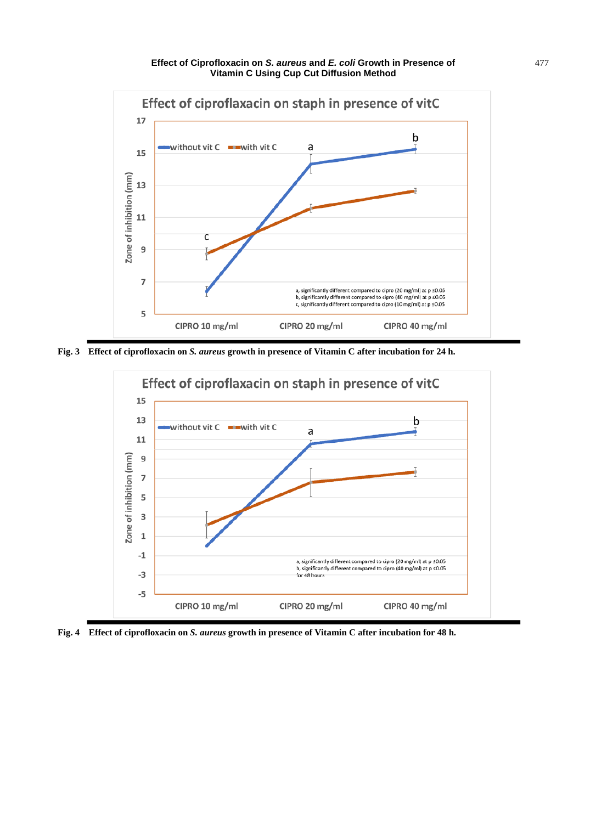

**Fig. 3 Effect of ciprofloxacin on** *S. aureus* **growth in presence of Vitamin C after incubation for 24 h.**



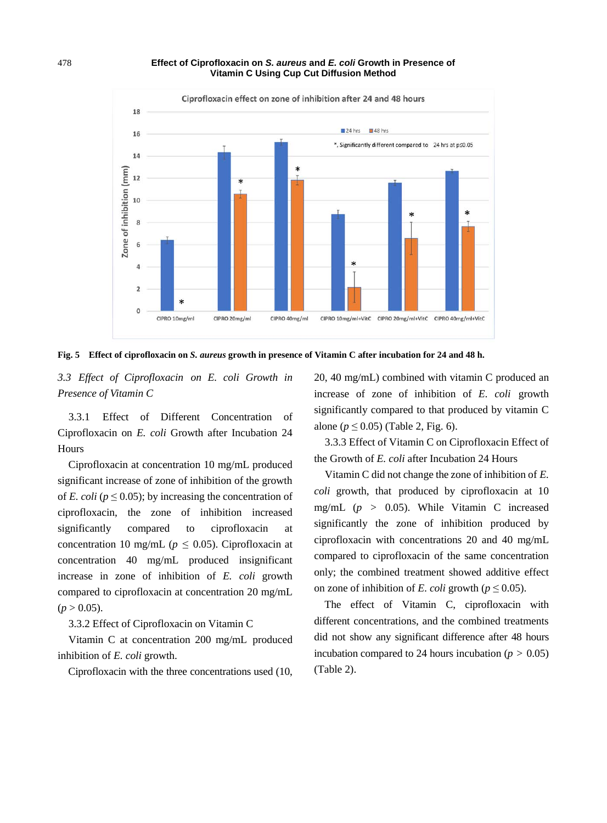

**Fig. 5 Effect of ciprofloxacin on** *S. aureus* **growth in presence of Vitamin C after incubation for 24 and 48 h.**

*3.3 Effect of Ciprofloxacin on E. coli Growth in Presence of Vitamin C* 

3.3.1 Effect of Different Concentration of Ciprofloxacin on *E. coli* Growth after Incubation 24 Hours

Ciprofloxacin at concentration 10 mg/mL produced significant increase of zone of inhibition of the growth of *E. coli* ( $p \le 0.05$ ); by increasing the concentration of ciprofloxacin, the zone of inhibition increased significantly compared to ciprofloxacin at concentration 10 mg/mL ( $p \le 0.05$ ). Ciprofloxacin at concentration 40 mg/mL produced insignificant increase in zone of inhibition of *E. coli* growth compared to ciprofloxacin at concentration 20 mg/mL  $(p > 0.05)$ .

3.3.2 Effect of Ciprofloxacin on Vitamin C

Vitamin C at concentration 200 mg/mL produced inhibition of *E. coli* growth.

Ciprofloxacin with the three concentrations used (10,

20, 40 mg/mL) combined with vitamin C produced an increase of zone of inhibition of *E. coli* growth significantly compared to that produced by vitamin C alone ( $p \le 0.05$ ) (Table 2, Fig. 6).

3.3.3 Effect of Vitamin C on Ciprofloxacin Effect of the Growth of *E. coli* after Incubation 24 Hours

Vitamin C did not change the zone of inhibition of *E. coli* growth, that produced by ciprofloxacin at 10 mg/mL (*p* > 0.05). While Vitamin C increased significantly the zone of inhibition produced by ciprofloxacin with concentrations 20 and 40 mg/mL compared to ciprofloxacin of the same concentration only; the combined treatment showed additive effect on zone of inhibition of *E. coli* growth ( $p \le 0.05$ ).

The effect of Vitamin C, ciprofloxacin with different concentrations, and the combined treatments did not show any significant difference after 48 hours incubation compared to 24 hours incubation ( $p > 0.05$ ) (Table 2).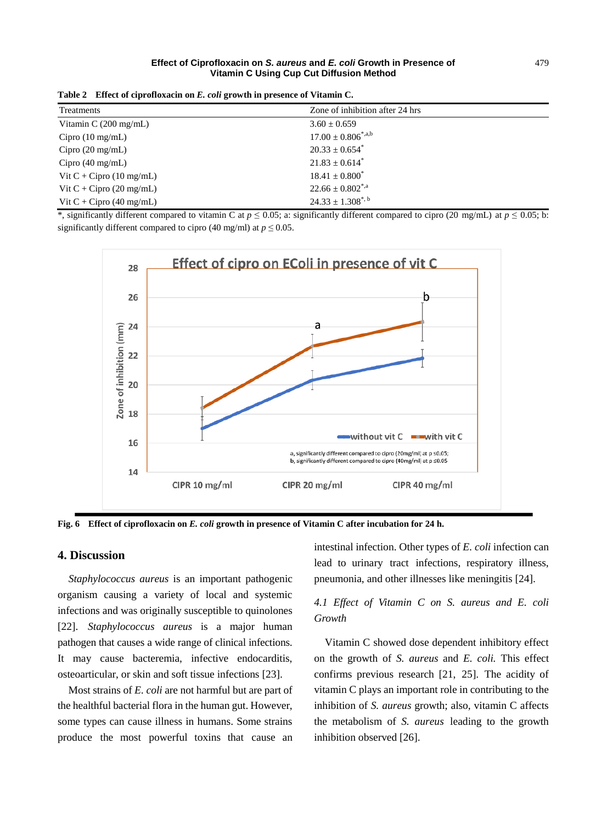|  | Table 2 Effect of ciprofloxacin on E. coli growth in presence of Vitamin C. |  |  |  |  |  |
|--|-----------------------------------------------------------------------------|--|--|--|--|--|
|--|-----------------------------------------------------------------------------|--|--|--|--|--|

| Treatments                         | Zone of inhibition after 24 hrs    |
|------------------------------------|------------------------------------|
| Vitamin $C(200 \text{ mg/mL})$     | $3.60 \pm 0.659$                   |
| $Cipro$ (10 mg/mL)                 | $17.00 \pm 0.806$ <sup>*,a,b</sup> |
| $Cipro$ (20 mg/mL)                 | $20.33 \pm 0.654$ <sup>*</sup>     |
| $Cipro$ (40 mg/mL)                 | $21.83 \pm 0.614$ <sup>*</sup>     |
| Vit $C + Cipro$ (10 mg/mL)         | $18.41 \pm 0.800^*$                |
| Vit $C + Cipro$ (20 mg/mL)         | $22.66 \pm 0.802^{\ast,a}$         |
| Vit C + Cipro $(40 \text{ mg/mL})$ | $24.33 \pm 1.308^{\ast, b}$        |

\*, significantly different compared to vitamin C at  $p \le 0.05$ ; a: significantly different compared to cipro (20 mg/mL) at  $p \le 0.05$ ; b: significantly different compared to cipro (40 mg/ml) at  $p \le 0.05$ .



**Fig. 6 Effect of ciprofloxacin on** *E. coli* **growth in presence of Vitamin C after incubation for 24 h.**

## **4. Discussion**

*Staphylococcus aureus* is an important pathogenic organism causing a variety of local and systemic infections and was originally susceptible to quinolones [22]. *Staphylococcus aureus* is a major human pathogen that causes a wide range of clinical infections. It may cause bacteremia, infective endocarditis, osteoarticular, or skin and soft tissue infections [23].

Most strains of *E. coli* are not harmful but are part of the healthful bacterial flora in the human gut. However, some types can cause illness in humans. Some strains produce the most powerful toxins that cause an intestinal infection. Other types of *E. coli* infection can lead to urinary tract infections, respiratory illness, pneumonia, and other illnesses like meningitis [24].

## *4.1 Effect of Vitamin C on S. aureus and E. coli Growth*

Vitamin C showed dose dependent inhibitory effect on the growth of *S. aureus* and *E. coli.* This effect confirms previous research [21, 25]. The acidity of vitamin C plays an important role in contributing to the inhibition of *S. aureus* growth; also, vitamin C affects the metabolism of *S. aureus* leading to the growth inhibition observed [26].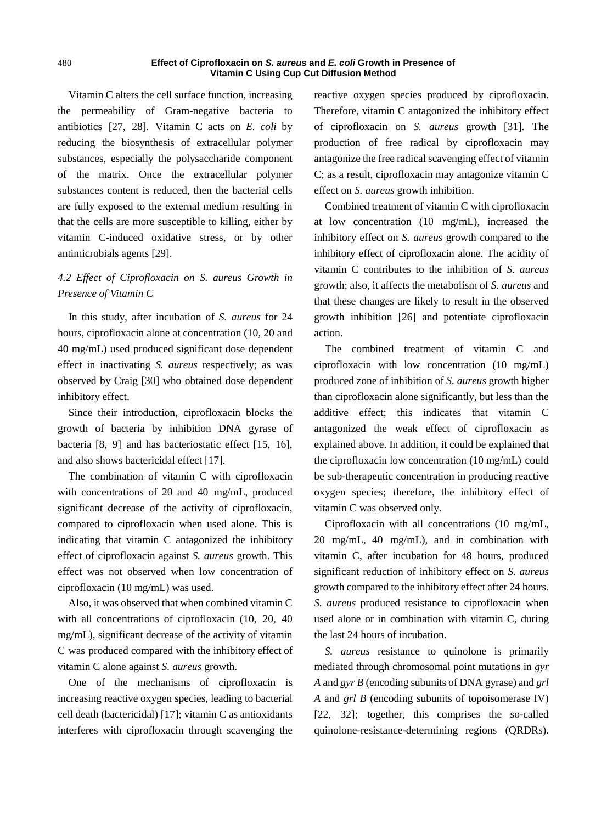Vitamin C alters the cell surface function, increasing the permeability of Gram-negative bacteria to antibiotics [27, 28]. Vitamin C acts on *E. coli* by reducing the biosynthesis of extracellular polymer substances, especially the polysaccharide component of the matrix. Once the extracellular polymer substances content is reduced, then the bacterial cells are fully exposed to the external medium resulting in that the cells are more susceptible to killing, either by vitamin C-induced oxidative stress, or by other antimicrobials agents [29].

# *4.2 Effect of Ciprofloxacin on S. aureus Growth in Presence of Vitamin C*

In this study, after incubation of *S. aureus* for 24 hours, ciprofloxacin alone at concentration (10, 20 and 40 mg/mL) used produced significant dose dependent effect in inactivating *S. aureus* respectively; as was observed by Craig [30] who obtained dose dependent inhibitory effect.

Since their introduction, ciprofloxacin blocks the growth of bacteria by inhibition DNA gyrase of bacteria [8, 9] and has bacteriostatic effect [15, 16], and also shows bactericidal effect [17].

The combination of vitamin C with ciprofloxacin with concentrations of 20 and 40 mg/mL, produced significant decrease of the activity of ciprofloxacin, compared to ciprofloxacin when used alone. This is indicating that vitamin C antagonized the inhibitory effect of ciprofloxacin against *S. aureus* growth. This effect was not observed when low concentration of ciprofloxacin (10 mg/mL) was used.

Also, it was observed that when combined vitamin C with all concentrations of ciprofloxacin (10, 20, 40 mg/mL), significant decrease of the activity of vitamin C was produced compared with the inhibitory effect of vitamin C alone against *S. aureus* growth.

One of the mechanisms of ciprofloxacin is increasing reactive oxygen species, leading to bacterial cell death (bactericidal) [17]; vitamin C as antioxidants interferes with ciprofloxacin through scavenging the reactive oxygen species produced by ciprofloxacin. Therefore, vitamin C antagonized the inhibitory effect of ciprofloxacin on *S. aureus* growth [31]. The production of free radical by ciprofloxacin may antagonize the free radical scavenging effect of vitamin C; as a result, ciprofloxacin may antagonize vitamin C effect on *S. aureus* growth inhibition.

Combined treatment of vitamin C with ciprofloxacin at low concentration (10 mg/mL), increased the inhibitory effect on *S. aureus* growth compared to the inhibitory effect of ciprofloxacin alone. The acidity of vitamin C contributes to the inhibition of *S. aureus* growth; also, it affects the metabolism of *S. aureus* and that these changes are likely to result in the observed growth inhibition [26] and potentiate ciprofloxacin action.

The combined treatment of vitamin C and ciprofloxacin with low concentration (10 mg/mL) produced zone of inhibition of *S. aureus* growth higher than ciprofloxacin alone significantly, but less than the additive effect; this indicates that vitamin C antagonized the weak effect of ciprofloxacin as explained above. In addition, it could be explained that the ciprofloxacin low concentration (10 mg/mL) could be sub-therapeutic concentration in producing reactive oxygen species; therefore, the inhibitory effect of vitamin C was observed only.

Ciprofloxacin with all concentrations (10 mg/mL, 20 mg/mL, 40 mg/mL), and in combination with vitamin C, after incubation for 48 hours, produced significant reduction of inhibitory effect on *S. aureus*  growth compared to the inhibitory effect after 24 hours. *S. aureus* produced resistance to ciprofloxacin when used alone or in combination with vitamin C, during the last 24 hours of incubation.

*S. aureus* resistance to quinolone is primarily mediated through chromosomal point mutations in *gyr A* and *gyr B* (encoding subunits of DNA gyrase) and *grl A* and *grl B* (encoding subunits of topoisomerase IV) [22, 32]; together, this comprises the so-called quinolone-resistance-determining regions (QRDRs).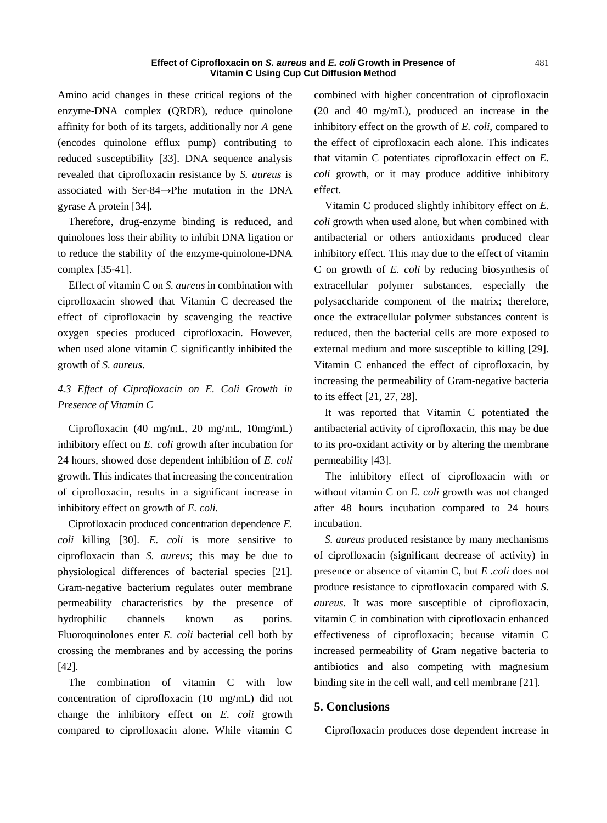Amino acid changes in these critical regions of the enzyme-DNA complex (QRDR), reduce quinolone affinity for both of its targets, additionally nor *A* gene (encodes quinolone efflux pump) contributing to reduced susceptibility [33]. DNA sequence analysis revealed that ciprofloxacin resistance by *S. aureus* is associated with Ser-84→Phe mutation in the DNA gyrase A protein [34].

Therefore, drug-enzyme binding is reduced, and quinolones loss their ability to inhibit DNA ligation or to reduce the stability of the enzyme-quinolone-DNA complex [35-41].

Effect of vitamin C on *S. aureus* in combination with ciprofloxacin showed that Vitamin C decreased the effect of ciprofloxacin by scavenging the reactive oxygen species produced ciprofloxacin. However, when used alone vitamin C significantly inhibited the growth of *S. aureus*.

# *4.3 Effect of Ciprofloxacin on E. Coli Growth in Presence of Vitamin C*

Ciprofloxacin (40 mg/mL, 20 mg/mL, 10mg/mL) inhibitory effect on *E. coli* growth after incubation for 24 hours, showed dose dependent inhibition of *E. coli*  growth. This indicates that increasing the concentration of ciprofloxacin, results in a significant increase in inhibitory effect on growth of *E. coli.*

Ciprofloxacin produced concentration dependence *E. coli* killing [30]. *E. coli* is more sensitive to ciprofloxacin than *S. aureus*; this may be due to physiological differences of bacterial species [21]. Gram‐negative bacterium regulates outer membrane permeability characteristics by the presence of hydrophilic channels known as porins. Fluoroquinolones enter *E. coli* bacterial cell both by crossing the membranes and by accessing the porins [42].

The combination of vitamin C with low concentration of ciprofloxacin (10 mg/mL) did not change the inhibitory effect on *E. coli* growth compared to ciprofloxacin alone. While vitamin C combined with higher concentration of ciprofloxacin (20 and 40 mg/mL), produced an increase in the inhibitory effect on the growth of *E. coli*, compared to the effect of ciprofloxacin each alone. This indicates that vitamin C potentiates ciprofloxacin effect on *E. coli* growth, or it may produce additive inhibitory effect.

Vitamin C produced slightly inhibitory effect on *E. coli* growth when used alone, but when combined with antibacterial or others antioxidants produced clear inhibitory effect. This may due to the effect of vitamin C on growth of *E. coli* by reducing biosynthesis of extracellular polymer substances, especially the polysaccharide component of the matrix; therefore, once the extracellular polymer substances content is reduced, then the bacterial cells are more exposed to external medium and more susceptible to killing [29]. Vitamin C enhanced the effect of ciprofloxacin, by increasing the permeability of Gram-negative bacteria to its effect [21, 27, 28].

It was reported that Vitamin C potentiated the antibacterial activity of ciprofloxacin, this may be due to its pro-oxidant activity or by altering the membrane permeability [43].

The inhibitory effect of ciprofloxacin with or without vitamin C on *E. coli* growth was not changed after 48 hours incubation compared to 24 hours incubation.

*S. aureus* produced resistance by many mechanisms of ciprofloxacin (significant decrease of activity) in presence or absence of vitamin C, but *E .coli* does not produce resistance to ciprofloxacin compared with *S. aureus.* It was more susceptible of ciprofloxacin, vitamin C in combination with ciprofloxacin enhanced effectiveness of ciprofloxacin; because vitamin C increased permeability of Gram negative bacteria to antibiotics and also competing with magnesium binding site in the cell wall, and cell membrane [21].

## **5. Conclusions**

Ciprofloxacin produces dose dependent increase in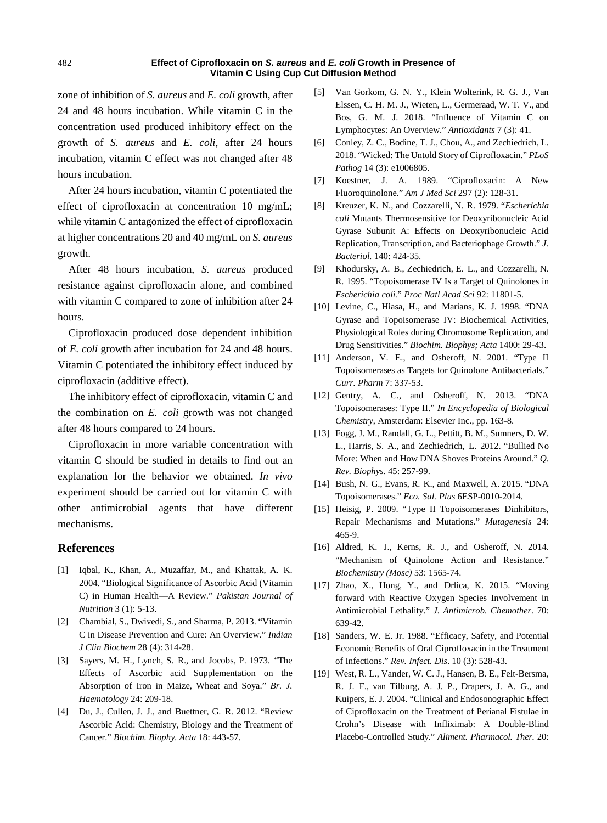zone of inhibition of *S. aureus* and *E. coli* growth, after 24 and 48 hours incubation. While vitamin C in the concentration used produced inhibitory effect on the growth of *S. aureus* and *E. coli*, after 24 hours incubation, vitamin C effect was not changed after 48 hours incubation.

After 24 hours incubation, vitamin C potentiated the effect of ciprofloxacin at concentration 10 mg/mL; while vitamin C antagonized the effect of ciprofloxacin at higher concentrations 20 and 40 mg/mL on *S. aureus*  growth.

After 48 hours incubation, *S. aureus* produced resistance against ciprofloxacin alone, and combined with vitamin C compared to zone of inhibition after 24 hours.

Ciprofloxacin produced dose dependent inhibition of *E. coli* growth after incubation for 24 and 48 hours. Vitamin C potentiated the inhibitory effect induced by ciprofloxacin (additive effect).

The inhibitory effect of ciprofloxacin, vitamin C and the combination on *E. coli* growth was not changed after 48 hours compared to 24 hours.

Ciprofloxacin in more variable concentration with vitamin C should be studied in details to find out an explanation for the behavior we obtained. *In vivo* experiment should be carried out for vitamin C with other antimicrobial agents that have different mechanisms.

## **References**

- [1] Iqbal, K., Khan, A., Muzaffar, M., and Khattak, A. K. 2004. "Biological Significance of Ascorbic Acid (Vitamin C) in Human Health—A Review." *Pakistan Journal of Nutrition* 3 (1): 5-13.
- [2] Chambial, S., Dwivedi, S., and Sharma, P. 2013. "Vitamin C in Disease Prevention and Cure: An Overview." *Indian J Clin Biochem* 28 (4): 314-28.
- [3] Sayers, M. H., Lynch, S. R., and Jocobs, P. 1973. "The Effects of Ascorbic acid Supplementation on the Absorption of Iron in Maize, Wheat and Soya." *Br. J. Haematology* 24: 209-18.
- [4] Du, J., Cullen, J. J., and Buettner, G. R. 2012. "Review Ascorbic Acid: Chemistry, Biology and the Treatment of Cancer." *Biochim. Biophy. Acta* 18: 443-57.
- [5] [Van Gorkom,](https://www.ncbi.nlm.nih.gov/pubmed/?term=van%20Gorkom%20GNY%5BAuthor%5D&cauthor=true&cauthor_uid=29534432) G. N. Y., [Klein Wolterink,](https://www.ncbi.nlm.nih.gov/pubmed/?term=Klein%20Wolterink%20RGJ%5BAuthor%5D&cauthor=true&cauthor_uid=29534432) R. G. J., [Van](https://www.ncbi.nlm.nih.gov/pubmed/?term=Van%20Elssen%20CHMJ%5BAuthor%5D&cauthor=true&cauthor_uid=29534432)  Elssen, [C. H. M. J.](https://www.ncbi.nlm.nih.gov/pubmed/?term=Van%20Elssen%20CHMJ%5BAuthor%5D&cauthor=true&cauthor_uid=29534432)[, Wieten,](https://www.ncbi.nlm.nih.gov/pubmed/?term=Wieten%20L%5BAuthor%5D&cauthor=true&cauthor_uid=29534432) L.[, Germeraad,](https://www.ncbi.nlm.nih.gov/pubmed/?term=Germeraad%20WTV%5BAuthor%5D&cauthor=true&cauthor_uid=29534432) W. T. V., and Bos, [G. M. J.](https://www.ncbi.nlm.nih.gov/pubmed/?term=Bos%20GMJ%5BAuthor%5D&cauthor=true&cauthor_uid=29534432) 2018. "Influence of Vitamin C on Lymphocytes: An Overview." *[Antioxidants](https://www.ncbi.nlm.nih.gov/pubmed/29534432)* 7 (3): 41.
- [6] Conley, Z. C., Bodine, T. J., Chou, A., and Zechiedrich, L. 2018. "Wicked: The Untold Story of Ciprofloxacin." *PLoS Pathog* 14 (3): e1006805.
- [7] Koestner, J. A. 1989. "Ciprofloxacin: A New Fluoroquinolone." *Am J Med Sci* 297 (2): 128-31.
- [8] Kreuzer, K. N., and Cozzarelli, N. R. 1979. "*Escherichia coli* Mutants Thermosensitive for Deoxyribonucleic Acid Gyrase Subunit A: Effects on Deoxyribonucleic Acid Replication, Transcription, and Bacteriophage Growth." *J. Bacteriol.* 140: 424-35.
- [9] Khodursky, A. B., Zechiedrich, E. L., and Cozzarelli, N. R. 1995. "Topoisomerase IV Is a Target of Quinolones in *Escherichia coli.*" *Proc Natl Acad Sci* 92: 11801-5.
- [10] Levine, C., Hiasa, H., and Marians, K. J. 1998. "DNA Gyrase and Topoisomerase IV: Biochemical Activities, Physiological Roles during Chromosome Replication, and Drug Sensitivities." *Biochim. Biophys; Acta* 1400: 29-43.
- [11] Anderson, V. E., and Osheroff, N. 2001. "Type II Topoisomerases as Targets for Quinolone Antibacterials." *Curr. Pharm* 7: 337-53.
- [12] Gentry, A. C., and Osheroff, N. 2013. "DNA Topoisomerases: Type II." *In Encyclopedia of Biological Chemistry*, Amsterdam: Elsevier Inc., pp. 163-8.
- [13] Fogg, J. M., Randall, G. L., Pettitt, B. M., Sumners, D. W. L., Harris, S. A., and Zechiedrich, L. 2012. "Bullied No More: When and How DNA Shoves Proteins Around." *Q. Rev. Biophys.* 45: 257-99.
- [14] Bush, N. G., Evans, R. K., and Maxwell, A. 2015. "DNA Topoisomerases." *Eco. Sal. Plus* 6ESP-0010-2014.
- [15] Heisig, P. 2009. "Type II Topoisomerases Đinhibitors, Repair Mechanisms and Mutations." *Mutagenesis* 24: 465-9.
- [16] Aldred, K. J., Kerns, R. J., and Osheroff, N. 2014. "Mechanism of Quinolone Action and Resistance." *Biochemistry (Mosc)* 53: 1565-74.
- [17] Zhao, X., Hong, Y., and Drlica, K. 2015. "Moving forward with Reactive Oxygen Species Involvement in Antimicrobial Lethality." *J. Antimicrob. Chemother*. 70: 639-42.
- [18] Sanders, W. E. Jr. 1988. "Efficacy, Safety, and Potential Economic Benefits of Oral Ciprofloxacin in the Treatment of Infections." *Rev. Infect. Dis*. 10 (3): 528-43.
- [19] West, R. L., Vander, W. C. J., Hansen, B. E., Felt-Bersma, R. J. F., van Tilburg, A. J. P., Drapers, J. A. G., and Kuipers, E. J. 2004. "Clinical and Endosonographic Effect of Ciprofloxacin on the Treatment of Perianal Fistulae in Crohn's Disease with Infliximab: A Double-Blind Placebo-Controlled Study." *Aliment. Pharmacol. Ther.* 20: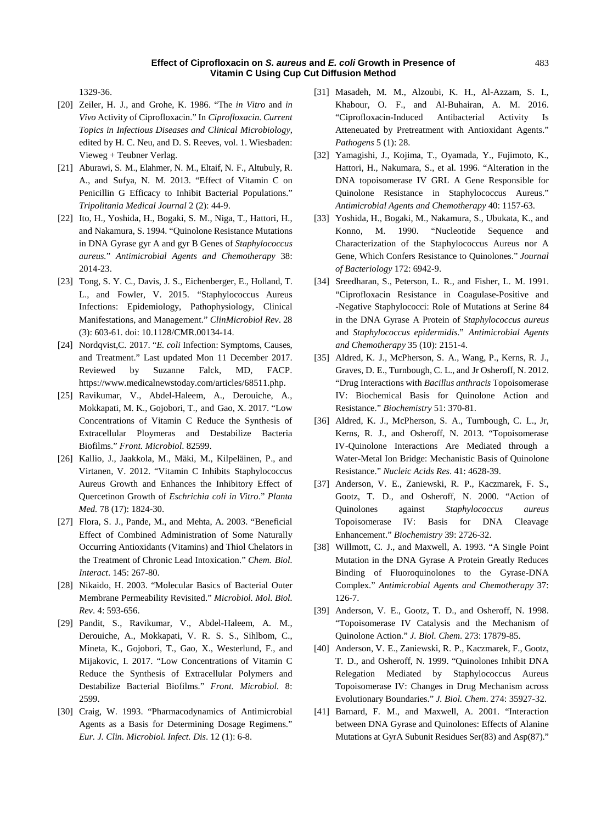1329-36.

- [20] Zeiler, H. J., and Grohe, K. 1986. "The *in Vitro* and *in Vivo* Activity of Ciprofloxacin." In *Ciprofloxacin. Current Topics in Infectious Diseases and Clinical Microbiology*, edited by H. C. Neu, and D. S. Reeves, vol. 1. Wiesbaden: Vieweg + Teubner Verlag.
- [21] Aburawi, S. M., Elahmer, N. M., Eltaif, N. F., Altubuly, R. A., and Sufya, N. M. 2013. "Effect of Vitamin C on Penicillin G Efficacy to Inhibit Bacterial Populations." *Tripolitania Medical Journal* 2 (2): 44-9.
- [22] Ito, H., Yoshida, H., Bogaki, S. M., Niga, T., Hattori, H., and Nakamura, S. 1994. "Quinolone Resistance Mutations in DNA Gyrase gyr A and gyr B Genes of *Staphylococcus aureus.*" *Antimicrobial Agents and Chemotherapy* 38: 2014-23.
- [23] Tong, [S. Y. C.](https://www.ncbi.nlm.nih.gov/pubmed/?term=Tong%20SY%5BAuthor%5D&cauthor=true&cauthor_uid=26016486), [Davis,](https://www.ncbi.nlm.nih.gov/pubmed/?term=Davis%20JS%5BAuthor%5D&cauthor=true&cauthor_uid=26016486) J. S., [Eichenberger,](https://www.ncbi.nlm.nih.gov/pubmed/?term=Eichenberger%20E%5BAuthor%5D&cauthor=true&cauthor_uid=26016486) E., [Holland,](https://www.ncbi.nlm.nih.gov/pubmed/?term=Holland%20TL%5BAuthor%5D&cauthor=true&cauthor_uid=26016486) T. L., and Fowler, V. 2015. "Staphylococcus Aureus Infections: Epidemiology, Pathophysiology, Clinical Manifestations, and Management." *[ClinMicrobiol Rev](https://www.ncbi.nlm.nih.gov/pmc/articles/PMC4451395/)*. 28 (3): 603-61. doi: [10.1128/CMR.00134-14.](https://dx.doi.org/10.1128%2FCMR.00134-14)
- [24] Nordqvist,C. 2017. "*E. coli* Infection: Symptoms, Causes, and Treatment." Last updated Mon 11 December 2017. Reviewed by [Suzanne Falck, MD, FACP.](https://www.medicalnewstoday.com/reviewers) [https://www.medicalnewstoday.com/articles/68511.php.](https://www.medicalnewstoday.com/articles/68511.php)
- [25] Ravikumar, V., Abdel-Haleem, A., Derouiche, A., Mokkapati, M. K., Gojobori, T., and Gao, X. 2017. "Low Concentrations of Vitamin C Reduce the Synthesis of Extracellular Ploymeras and Destabilize Bacteria Biofilms." *Front. Microbiol*. 82599.
- [26] Kallio, J., Jaakkola, M., Mäki, M., Kilpeläinen, P., and Virtanen, V. 2012. "Vitamin C Inhibits Staphylococcus Aureus Growth and Enhances the Inhibitory Effect of Quercetinon Growth of *Eschrichia coli in Vitro*." *Planta Med.* 78 (17): 1824-30.
- [27] Flora, S. J., Pande, M., and Mehta, A. 2003. "Beneficial Effect of Combined Administration of Some Naturally Occurring Antioxidants (Vitamins) and Thiol Chelators in the Treatment of Chronic Lead Intoxication." *Chem. Biol. Interact*. 145: 267-80.
- [28] Nikaido, H. 2003. "Molecular Basics of Bacterial Outer Membrane Permeability Revisited." *Microbiol. Mol. Biol. Rev*. 4: 593-656.
- [29] Pandit, S., Ravikumar, V., Abdel-Haleem, A. M., Derouiche, A., Mokkapati, V. R. S. S., Sihlbom, C., Mineta, K., Gojobori, T., Gao, X., Westerlund, F., and Mijakovic, I. 2017. "Low Concentrations of Vitamin C Reduce the Synthesis of Extracellular Polymers and Destabilize Bacterial Biofilms." *Front. Microbiol.* 8: 2599.
- [30] Craig, W. 1993. "Pharmacodynamics of Antimicrobial Agents as a Basis for Determining Dosage Regimens." *Eur. J. Clin. Microbiol. Infect. Dis*. 12 (1): 6-8.
- [31] Masadeh, M. M., Alzoubi, K. H., Al-Azzam, S. I., Khabour, O. F., and Al-Buhairan, A. M. 2016. "Ciprofloxacin-Induced Antibacterial Activity Is Atteneuated by Pretreatment with Antioxidant Agents." *Pathogens* 5 (1): 28.
- [32] Yamagishi, J., Kojima, T., Oyamada, Y., Fujimoto, K., Hattori, H., Nakumara, S., et al. 1996. "Alteration in the DNA topoisomerase IV GRL A Gene Responsible for Quinolone Resistance in Staphylococcus Aureus." *Antimicrobial Agents and Chemotherapy* 40: 1157-63.
- [33] Yoshida, H., Bogaki, M., Nakamura, S., Ubukata, K., and Konno, M. 1990. "Nucleotide Sequence and Characterization of the Staphylococcus Aureus nor A Gene, Which Confers Resistance to Quinolones." *Journal of Bacteriology* 172: 6942-9.
- [34] Sreedharan, S., Peterson, L. R., and Fisher, L. M. 1991. "Ciprofloxacin Resistance in Coagulase-Positive and -Negative Staphylococci: Role of Mutations at Serine 84 in the DNA Gyrase A Protein of *Staphylococcus aureus* and *Staphylococcus epidermidis*." *Antimicrobial Agents and Chemotherapy* 35 (10): 2151-4.
- [35] Aldred, K. J., McPherson, S. A., Wang, P., Kerns, R. J., Graves, D. E., Turnbough, C. L., and Jr Osheroff, N. 2012. "Drug Interactions with *Bacillus anthracis* Topoisomerase IV: Biochemical Basis for Quinolone Action and Resistance." *Biochemistry* 51: 370-81.
- [36] Aldred, K. J., McPherson, S. A., Turnbough, C. L., Jr, Kerns, R. J., and Osheroff, N. 2013. "Topoisomerase IV-Quinolone Interactions Are Mediated through a Water-Metal Ion Bridge: Mechanistic Basis of Quinolone Resistance." *Nucleic Acids Res*. 41: 4628-39.
- [37] Anderson, V. E., Zaniewski, R. P., Kaczmarek, F. S., Gootz, T. D., and Osheroff, N. 2000. "Action of Quinolones against *Staphylococcus aureus* Topoisomerase IV: Basis for DNA Cleavage Enhancement." *Biochemistry* 39: 2726-32.
- [38] Willmott, C. J., and Maxwell, A. 1993. "A Single Point Mutation in the DNA Gyrase A Protein Greatly Reduces Binding of Fluoroquinolones to the Gyrase-DNA Complex." *Antimicrobial Agents and Chemotherapy* 37: 126-7.
- [39] Anderson, V. E., Gootz, T. D., and Osheroff, N. 1998. "Topoisomerase IV Catalysis and the Mechanism of Quinolone Action." *J. Biol. Chem*. 273: 17879-85.
- [40] Anderson, V. E., Zaniewski, R. P., Kaczmarek, F., Gootz, T. D., and Osheroff, N. 1999. "Quinolones Inhibit DNA Relegation Mediated by Staphylococcus Aureus Topoisomerase IV: Changes in Drug Mechanism across Evolutionary Boundaries." *J. Biol. Chem*. 274: 35927-32.
- [41] Barnard, F. M., and Maxwell, A. 2001. "Interaction between DNA Gyrase and Quinolones: Effects of Alanine Mutations at GyrA Subunit Residues Ser(83) and Asp(87)."